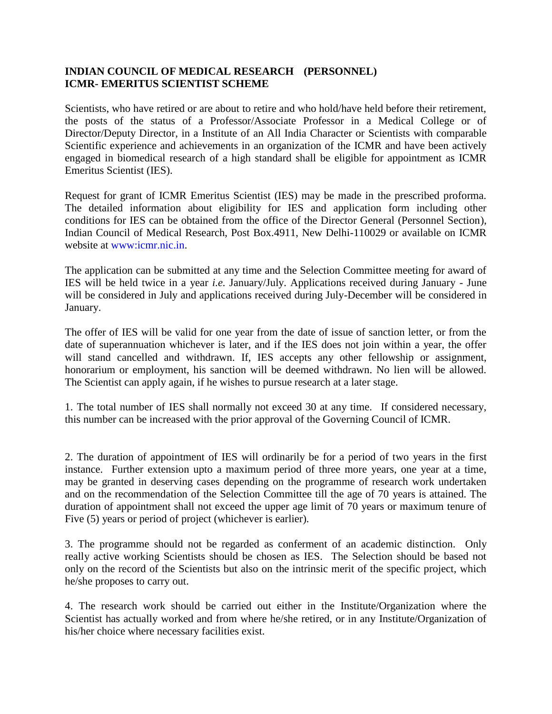## **INDIAN COUNCIL OF MEDICAL RESEARCH (PERSONNEL) ICMR- EMERITUS SCIENTIST SCHEME**

Scientists, who have retired or are about to retire and who hold/have held before their retirement, the posts of the status of a Professor/Associate Professor in a Medical College or of Director/Deputy Director, in a Institute of an All India Character or Scientists with comparable Scientific experience and achievements in an organization of the ICMR and have been actively engaged in biomedical research of a high standard shall be eligible for appointment as ICMR Emeritus Scientist (IES).

Request for grant of ICMR Emeritus Scientist (IES) may be made in the prescribed proforma. The detailed information about eligibility for IES and application form including other conditions for IES can be obtained from the office of the Director General (Personnel Section), Indian Council of Medical Research, Post Box.4911, New Delhi-110029 or available on ICMR website at [www:icmr.nic.in.](http://icmr.nic.in/)

The application can be submitted at any time and the Selection Committee meeting for award of IES will be held twice in a year *i.e.* January/July. Applications received during January - June will be considered in July and applications received during July-December will be considered in January.

The offer of IES will be valid for one year from the date of issue of sanction letter, or from the date of superannuation whichever is later, and if the IES does not join within a year, the offer will stand cancelled and withdrawn. If, IES accepts any other fellowship or assignment, honorarium or employment, his sanction will be deemed withdrawn. No lien will be allowed. The Scientist can apply again, if he wishes to pursue research at a later stage.

1. The total number of IES shall normally not exceed 30 at any time. If considered necessary, this number can be increased with the prior approval of the Governing Council of ICMR.

2. The duration of appointment of IES will ordinarily be for a period of two years in the first instance. Further extension upto a maximum period of three more years, one year at a time, may be granted in deserving cases depending on the programme of research work undertaken and on the recommendation of the Selection Committee till the age of 70 years is attained. The duration of appointment shall not exceed the upper age limit of 70 years or maximum tenure of Five (5) years or period of project (whichever is earlier).

3. The programme should not be regarded as conferment of an academic distinction. Only really active working Scientists should be chosen as IES. The Selection should be based not only on the record of the Scientists but also on the intrinsic merit of the specific project, which he/she proposes to carry out.

4. The research work should be carried out either in the Institute/Organization where the Scientist has actually worked and from where he/she retired, or in any Institute/Organization of his/her choice where necessary facilities exist.